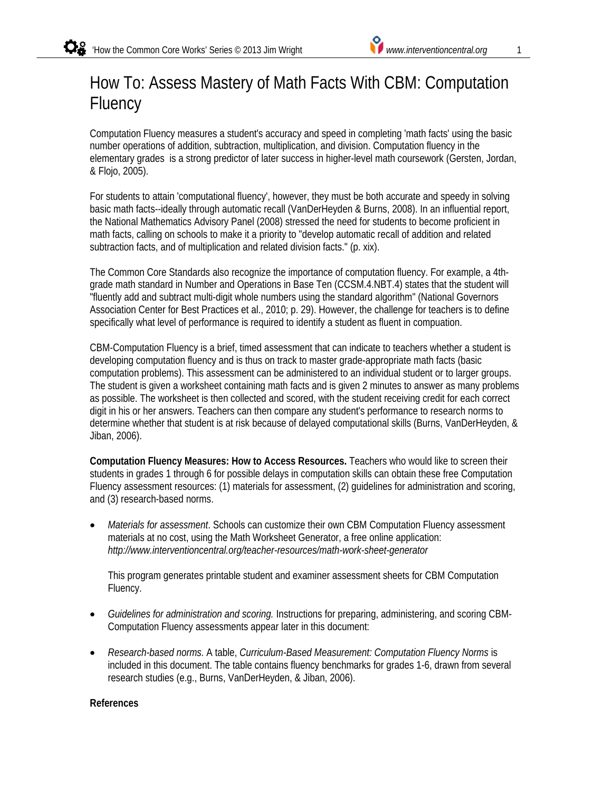# How To: Assess Mastery of Math Facts With CBM: Computation **Fluency**

Computation Fluency measures a student's accuracy and speed in completing 'math facts' using the basic number operations of addition, subtraction, multiplication, and division. Computation fluency in the elementary grades is a strong predictor of later success in higher-level math coursework (Gersten, Jordan, & Flojo, 2005).

For students to attain 'computational fluency', however, they must be both accurate and speedy in solving basic math facts--ideally through automatic recall (VanDerHeyden & Burns, 2008). In an influential report, the National Mathematics Advisory Panel (2008) stressed the need for students to become proficient in math facts, calling on schools to make it a priority to "develop automatic recall of addition and related subtraction facts, and of multiplication and related division facts." (p. xix).

The Common Core Standards also recognize the importance of computation fluency. For example, a 4thgrade math standard in Number and Operations in Base Ten (CCSM.4.NBT.4) states that the student will "fluently add and subtract multi-digit whole numbers using the standard algorithm" (National Governors Association Center for Best Practices et al., 2010; p. 29). However, the challenge for teachers is to define specifically what level of performance is required to identify a student as fluent in compuation.

CBM-Computation Fluency is a brief, timed assessment that can indicate to teachers whether a student is developing computation fluency and is thus on track to master grade-appropriate math facts (basic computation problems). This assessment can be administered to an individual student or to larger groups. The student is given a worksheet containing math facts and is given 2 minutes to answer as many problems as possible. The worksheet is then collected and scored, with the student receiving credit for each correct digit in his or her answers. Teachers can then compare any student's performance to research norms to determine whether that student is at risk because of delayed computational skills (Burns, VanDerHeyden, & Jiban, 2006).

**Computation Fluency Measures: How to Access Resources.** Teachers who would like to screen their students in grades 1 through 6 for possible delays in computation skills can obtain these free Computation Fluency assessment resources: (1) materials for assessment, (2) guidelines for administration and scoring, and (3) research-based norms.

 *Materials for assessment*. Schools can customize their own CBM Computation Fluency assessment materials at no cost, using the Math Worksheet Generator, a free online application: *http://www.interventioncentral.org/teacher-resources/math-work-sheet-generator*

This program generates printable student and examiner assessment sheets for CBM Computation Fluency.

- *Guidelines for administration and scoring.* Instructions for preparing, administering, and scoring CBM-Computation Fluency assessments appear later in this document:
- *Research-based norms.* A table, *Curriculum-Based Measurement: Computation Fluency Norms* is included in this document. The table contains fluency benchmarks for grades 1-6, drawn from several research studies (e.g., Burns, VanDerHeyden, & Jiban, 2006).

### **References**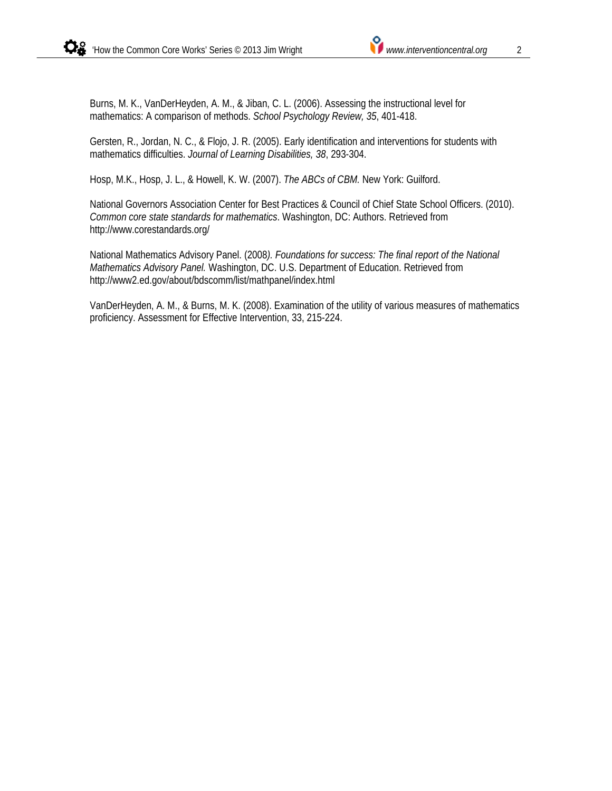Burns, M. K., VanDerHeyden, A. M., & Jiban, C. L. (2006). Assessing the instructional level for mathematics: A comparison of methods. *School Psychology Review, 35*, 401-418.

Gersten, R., Jordan, N. C., & Flojo, J. R. (2005). Early identification and interventions for students with mathematics difficulties. *Journal of Learning Disabilities, 38*, 293-304.

Hosp, M.K., Hosp, J. L., & Howell, K. W. (2007). *The ABCs of CBM.* New York: Guilford.

National Governors Association Center for Best Practices & Council of Chief State School Officers. (2010). *Common core state standards for mathematics*. Washington, DC: Authors. Retrieved from http://www.corestandards.org/

National Mathematics Advisory Panel. (2008*). Foundations for success: The final report of the National Mathematics Advisory Panel.* Washington, DC. U.S. Department of Education. Retrieved from http://www2.ed.gov/about/bdscomm/list/mathpanel/index.html

VanDerHeyden, A. M., & Burns, M. K. (2008). Examination of the utility of various measures of mathematics proficiency. Assessment for Effective Intervention, 33, 215-224.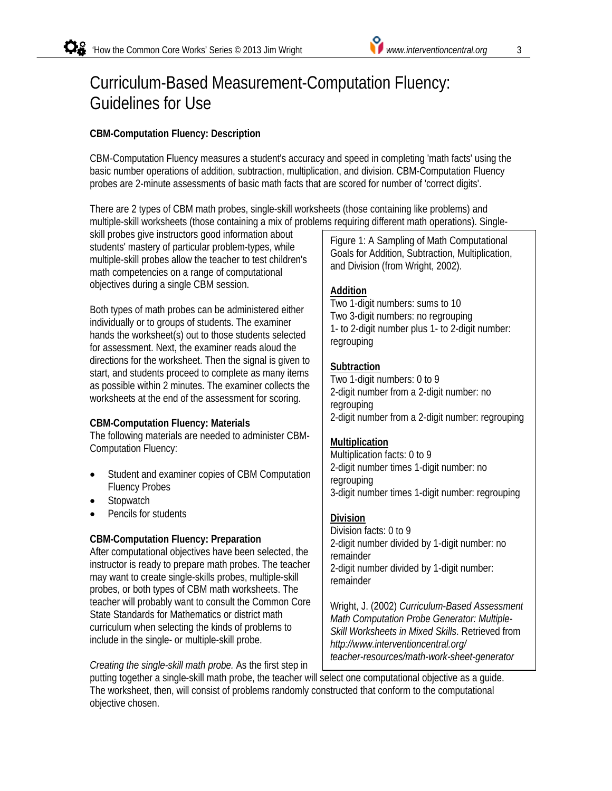# Curriculum-Based Measurement-Computation Fluency: Guidelines for Use

## **CBM-Computation Fluency: Description**

CBM-Computation Fluency measures a student's accuracy and speed in completing 'math facts' using the basic number operations of addition, subtraction, multiplication, and division. CBM-Computation Fluency probes are 2-minute assessments of basic math facts that are scored for number of 'correct digits'.

There are 2 types of CBM math probes, single-skill worksheets (those containing like problems) and multiple-skill worksheets (those containing a mix of problems requiring different math operations). Single-

skill probes give instructors good information about students' mastery of particular problem-types, while multiple-skill probes allow the teacher to test children's math competencies on a range of computational objectives during a single CBM session.

Both types of math probes can be administered either individually or to groups of students. The examiner hands the worksheet(s) out to those students selected for assessment. Next, the examiner reads aloud the directions for the worksheet. Then the signal is given to start, and students proceed to complete as many items as possible within 2 minutes. The examiner collects the worksheets at the end of the assessment for scoring.

### **CBM-Computation Fluency: Materials**

The following materials are needed to administer CBM-Computation Fluency:

- Student and examiner copies of CBM Computation Fluency Probes
- **Stopwatch**
- Pencils for students

### **CBM-Computation Fluency: Preparation**

After computational objectives have been selected, the instructor is ready to prepare math probes. The teacher may want to create single-skills probes, multiple-skill probes, or both types of CBM math worksheets. The teacher will probably want to consult the Common Core State Standards for Mathematics or district math curriculum when selecting the kinds of problems to include in the single- or multiple-skill probe.

*Creating the single-skill math probe.* As the first step in

Figure 1: A Sampling of Math Computational Goals for Addition, Subtraction, Multiplication, and Division (from Wright, 2002).

## **Addition**

Two 1-digit numbers: sums to 10 Two 3-digit numbers: no regrouping 1- to 2-digit number plus 1- to 2-digit number: regrouping

## **Subtraction**

Two 1-digit numbers: 0 to 9 2-digit number from a 2-digit number: no regrouping 2-digit number from a 2-digit number: regrouping

# **Multiplication**

Multiplication facts: 0 to 9 2-digit number times 1-digit number: no regrouping 3-digit number times 1-digit number: regrouping

# **Division**

Division facts: 0 to 9 2-digit number divided by 1-digit number: no remainder 2-digit number divided by 1-digit number: remainder

Wright, J. (2002) *Curriculum-Based Assessment Math Computation Probe Generator: Multiple-Skill Worksheets in Mixed Skills*. Retrieved from *http://www.interventioncentral.org/ teacher-resources/math-work-sheet-generator*

putting together a single-skill math probe, the teacher will select one computational objective as a guide. The worksheet, then, will consist of problems randomly constructed that conform to the computational objective chosen.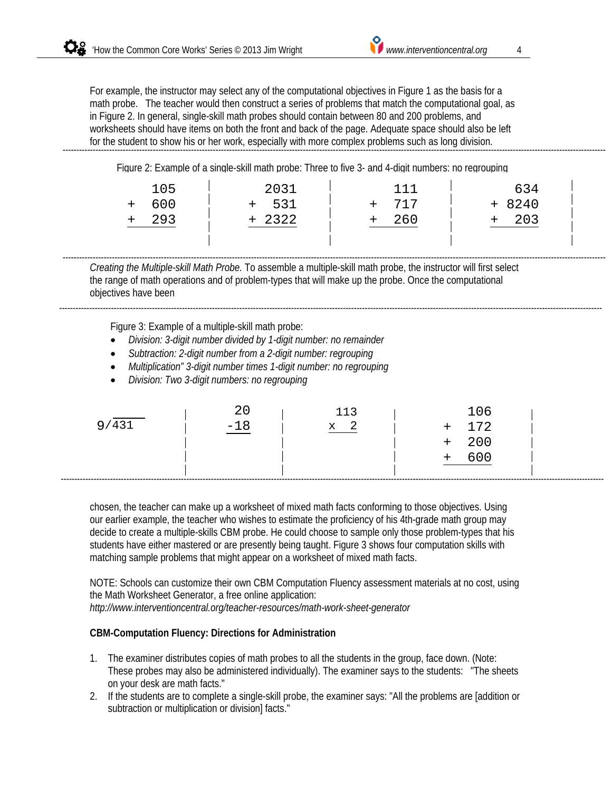Figure 2: Example of a single-skill math probe: Three to five 3- and 4-digit numbers: no regrouping

| 105          | 2031         | 111 | 634      |
|--------------|--------------|-----|----------|
| 600<br>$\pm$ | 531<br>$\pm$ | 717 | $+ 8240$ |
| २१२          | $+ 2322$     | 260 | 203      |
|              |              |     |          |

-------------------------------------------------------------------------------------------------------------------------------------------------------------------------------------------------------

*Creating the Multiple-skill Math Probe.* To assemble a multiple-skill math probe, the instructor will first select the range of math operations and of problem-types that will make up the probe. Once the computational objectives have been -------------------------------------------------------------------------------------------------------------------------------------------------------------------------------------------------------

Figure 3: Example of a multiple-skill math probe:

- *Division: 3-digit number divided by 1-digit number: no remainder*
- *Subtraction: 2-digit number from a 2-digit number: regrouping*
- *Multiplication" 3-digit number times 1-digit number: no regrouping*
- *Division: Two 3-digit numbers: no regrouping*

| 9/43 | $\overline{\phantom{0}}$ | x | $+$ | 106<br>$+$ 172<br>200 |  |
|------|--------------------------|---|-----|-----------------------|--|
|      |                          |   |     |                       |  |

chosen, the teacher can make up a worksheet of mixed math facts conforming to those objectives. Using our earlier example, the teacher who wishes to estimate the proficiency of his 4th-grade math group may decide to create a multiple-skills CBM probe. He could choose to sample only those problem-types that his students have either mastered or are presently being taught. Figure 3 shows four computation skills with matching sample problems that might appear on a worksheet of mixed math facts.

NOTE: Schools can customize their own CBM Computation Fluency assessment materials at no cost, using the Math Worksheet Generator, a free online application: *http://www.interventioncentral.org/teacher-resources/math-work-sheet-generator*

### **CBM-Computation Fluency: Directions for Administration**

- 1. The examiner distributes copies of math probes to all the students in the group, face down. (Note: These probes may also be administered individually). The examiner says to the students: "The sheets on your desk are math facts."
- 2. If the students are to complete a single-skill probe, the examiner says: "All the problems are [addition or subtraction or multiplication or division] facts."

| | | | |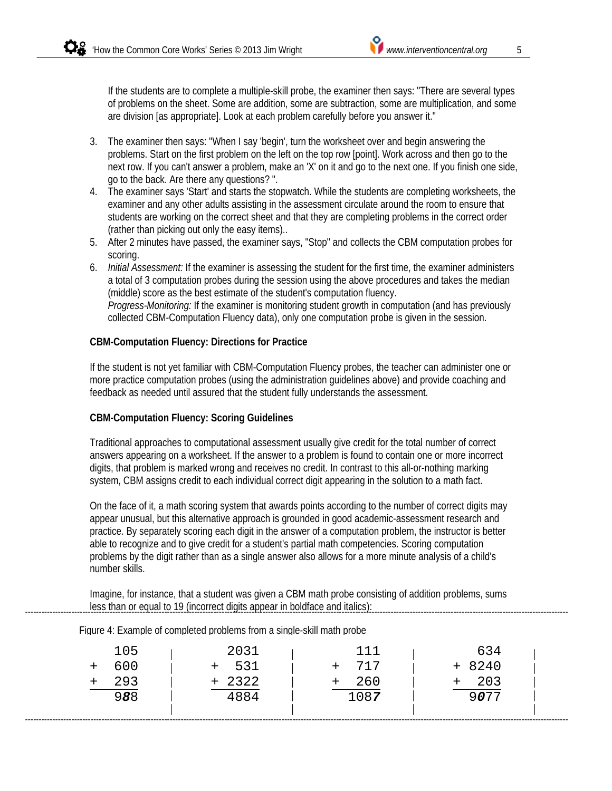If the students are to complete a multiple-skill probe, the examiner then says: "There are several types of problems on the sheet. Some are addition, some are subtraction, some are multiplication, and some are division [as appropriate]. Look at each problem carefully before you answer it."

- 3. The examiner then says: "When I say 'begin', turn the worksheet over and begin answering the problems. Start on the first problem on the left on the top row [point]. Work across and then go to the next row. If you can't answer a problem, make an 'X' on it and go to the next one. If you finish one side, go to the back. Are there any questions? ".
- 4. The examiner says 'Start' and starts the stopwatch. While the students are completing worksheets, the examiner and any other adults assisting in the assessment circulate around the room to ensure that students are working on the correct sheet and that they are completing problems in the correct order (rather than picking out only the easy items)..
- 5. After 2 minutes have passed, the examiner says, "Stop" and collects the CBM computation probes for scoring.
- 6. *Initial Assessment:* If the examiner is assessing the student for the first time, the examiner administers a total of 3 computation probes during the session using the above procedures and takes the median (middle) score as the best estimate of the student's computation fluency. *Progress-Monitoring:* If the examiner is monitoring student growth in computation (and has previously collected CBM-Computation Fluency data), only one computation probe is given in the session.

#### **CBM-Computation Fluency: Directions for Practice**

If the student is not yet familiar with CBM-Computation Fluency probes, the teacher can administer one or more practice computation probes (using the administration guidelines above) and provide coaching and feedback as needed until assured that the student fully understands the assessment.

#### **CBM-Computation Fluency: Scoring Guidelines**

Traditional approaches to computational assessment usually give credit for the total number of correct answers appearing on a worksheet. If the answer to a problem is found to contain one or more incorrect digits, that problem is marked wrong and receives no credit. In contrast to this all-or-nothing marking system, CBM assigns credit to each individual correct digit appearing in the solution to a math fact.

On the face of it, a math scoring system that awards points according to the number of correct digits may appear unusual, but this alternative approach is grounded in good academic-assessment research and practice. By separately scoring each digit in the answer of a computation problem, the instructor is better able to recognize and to give credit for a student's partial math competencies. Scoring computation problems by the digit rather than as a single answer also allows for a more minute analysis of a child's number skills.

Imagine, for instance, that a student was given a CBM math probe consisting of addition problems, sums less than or equal to 19 (incorrect digits appear in boldface and italics): -------------------------------------------------------------------------------------------------------------------------------------------------------------------------------------------------------

------------------------------------------------------------------------------------------------------------------------------------------------------------------------------------------------------- 105 + 600 + 293 9*8*8 | | | | | 2031 + 531 + 2322 4884 | | | | | 111 + 717 + 260 108*7* | | | | | 634 + 8240 + 203 9*0*77 | | | | |

Figure 4: Example of completed problems from a single-skill math probe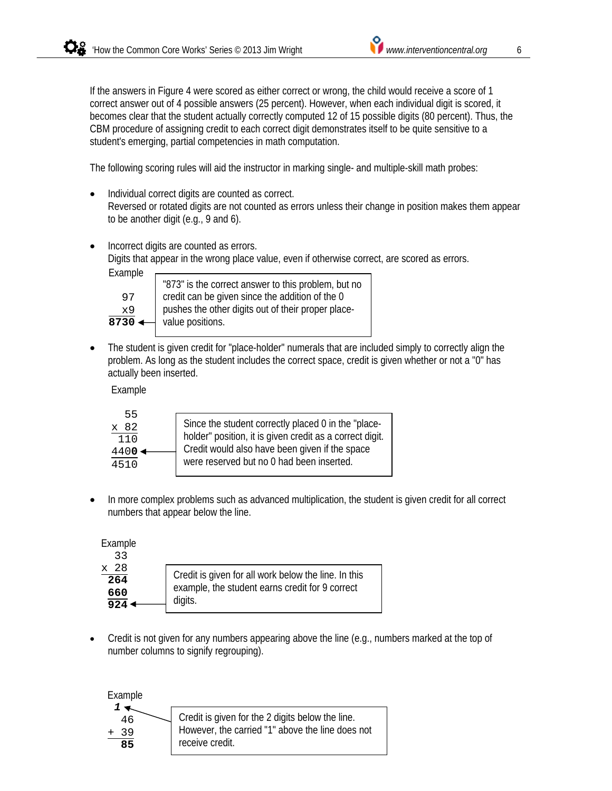If the answers in Figure 4 were scored as either correct or wrong, the child would receive a score of 1 correct answer out of 4 possible answers (25 percent). However, when each individual digit is scored, it becomes clear that the student actually correctly computed 12 of 15 possible digits (80 percent). Thus, the CBM procedure of assigning credit to each correct digit demonstrates itself to be quite sensitive to a student's emerging, partial competencies in math computation.

The following scoring rules will aid the instructor in marking single- and multiple-skill math probes:

- Individual correct digits are counted as correct. Reversed or rotated digits are not counted as errors unless their change in position makes them appear to be another digit (e.g., 9 and 6).
- Incorrect digits are counted as errors.

Digits that appear in the wrong place value, even if otherwise correct, are scored as errors. Evample

| $-$ | "873" is the correct answer to this problem, but no |
|-----|-----------------------------------------------------|
| 97  | credit can be given since the addition of the 0     |
| x9  | pushes the other digits out of their proper place-  |
|     | $\overline{8730}$ $\leftarrow$ value positions.     |
|     |                                                     |

• The student is given credit for "place-holder" numerals that are included simply to correctly align the problem. As long as the student includes the correct space, credit is given whether or not a "0" has actually been inserted.

Example

| 55                   |                                                          |
|----------------------|----------------------------------------------------------|
|                      |                                                          |
| $\times$ 82          | Since the student correctly placed 0 in the "place-      |
| 110                  | holder" position, it is given credit as a correct digit. |
| $4400 \triangleleft$ | Credit would also have been given if the space           |
| 4510                 | were reserved but no 0 had been inserted.                |
|                      |                                                          |

 In more complex problems such as advanced multiplication, the student is given credit for all correct numbers that appear below the line.

| Example                   |                                                                                                                    |
|---------------------------|--------------------------------------------------------------------------------------------------------------------|
| 33                        |                                                                                                                    |
| x 28<br>264<br>660<br>924 | Credit is given for all work below the line. In this<br>example, the student earns credit for 9 correct<br>digits. |

 Credit is not given for any numbers appearing above the line (e.g., numbers marked at the top of number columns to signify regrouping).

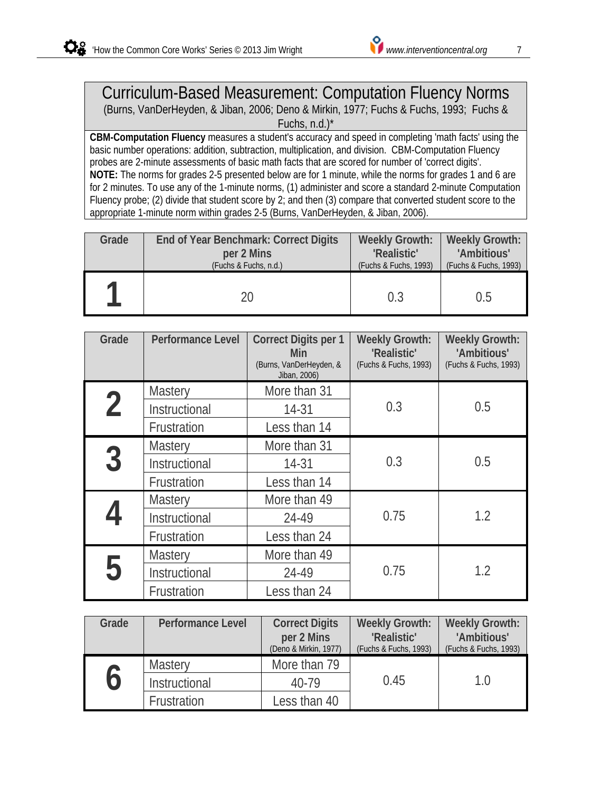

# Curriculum-Based Measurement: Computation Fluency Norms (Burns, VanDerHeyden, & Jiban, 2006; Deno & Mirkin, 1977; Fuchs & Fuchs, 1993; Fuchs & Fuchs, n.d.)\*

**CBM-Computation Fluency** measures a student's accuracy and speed in completing 'math facts' using the basic number operations: addition, subtraction, multiplication, and division. CBM-Computation Fluency probes are 2-minute assessments of basic math facts that are scored for number of 'correct digits'. **NOTE:** The norms for grades 2-5 presented below are for 1 minute, while the norms for grades 1 and 6 are for 2 minutes. To use any of the 1-minute norms, (1) administer and score a standard 2-minute Computation Fluency probe; (2) divide that student score by 2; and then (3) compare that converted student score to the appropriate 1-minute norm within grades 2-5 (Burns, VanDerHeyden, & Jiban, 2006).

| Grade | End of Year Benchmark: Correct Digits | <b>Weekly Growth:</b> | <b>Weekly Growth:</b> |  |
|-------|---------------------------------------|-----------------------|-----------------------|--|
|       | per 2 Mins                            | 'Realistic'           | 'Ambitious'           |  |
|       | (Fuchs & Fuchs, n.d.)                 | (Fuchs & Fuchs, 1993) | (Fuchs & Fuchs, 1993) |  |
| ▰     |                                       | 0.3                   | 0.5                   |  |

| Grade | <b>Performance Level</b> | <b>Correct Digits per 1</b><br>Min<br>(Burns, VanDerHeyden, &<br>Jiban, 2006) | <b>Weekly Growth:</b><br>'Realistic'<br>(Fuchs & Fuchs, 1993) | <b>Weekly Growth:</b><br>'Ambitious'<br>(Fuchs & Fuchs, 1993) |
|-------|--------------------------|-------------------------------------------------------------------------------|---------------------------------------------------------------|---------------------------------------------------------------|
|       | <b>Mastery</b>           | More than 31                                                                  |                                                               |                                                               |
| 2     | Instructional            | $14 - 31$                                                                     | 0.3                                                           | 0.5                                                           |
|       | Frustration              | Less than 14                                                                  |                                                               |                                                               |
|       | <b>Mastery</b>           | More than 31                                                                  |                                                               |                                                               |
|       | Instructional            | 14-31                                                                         | 0.3                                                           | 0.5                                                           |
|       | Frustration              | Less than 14                                                                  |                                                               |                                                               |
|       | <b>Mastery</b>           | More than 49                                                                  |                                                               |                                                               |
|       | Instructional            | 24-49                                                                         | 0.75                                                          | 1.2                                                           |
|       | Frustration              | Less than 24                                                                  |                                                               |                                                               |
|       | <b>Mastery</b>           | More than 49                                                                  |                                                               |                                                               |
|       | Instructional            | 24-49                                                                         | 0.75                                                          | 1.2                                                           |
|       | Frustration              | Less than 24                                                                  |                                                               |                                                               |

| Grade | <b>Performance Level</b> | <b>Correct Digits</b><br>per 2 Mins<br>(Deno & Mirkin, 1977) | <b>Weekly Growth:</b><br>'Realistic'<br>(Fuchs & Fuchs, 1993) | <b>Weekly Growth:</b><br>'Ambitious'<br>(Fuchs & Fuchs, 1993) |
|-------|--------------------------|--------------------------------------------------------------|---------------------------------------------------------------|---------------------------------------------------------------|
|       | <b>Mastery</b>           | More than 79                                                 |                                                               |                                                               |
| 6     | Instructional            | $40 - 79$                                                    | 0.45                                                          | 1.0                                                           |
|       | Frustration              | Less than 40                                                 |                                                               |                                                               |